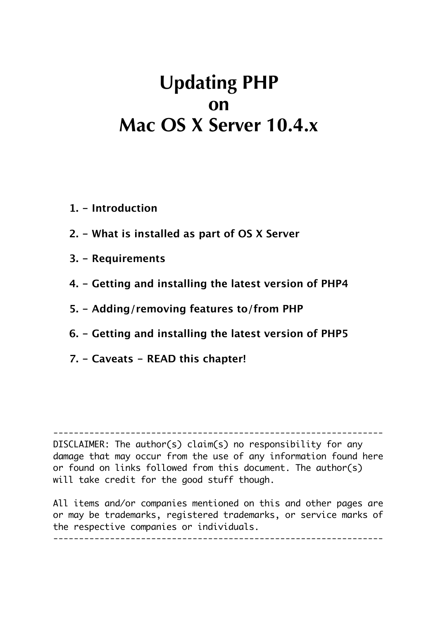# **Updating PHP on Mac OS X Server 10.4.x**

- **1. Introduction**
- **2. What is installed as part of OS X Server**
- **3. Requirements**
- **4. Getting and installing the latest version of PHP4**
- **5. Adding/removing features to/from PHP**
- **6. Getting and installing the latest version of PHP5**
- **7. Caveats READ this chapter!**

DISCLAIMER: The author(s) claim(s) no responsibility for any damage that may occur from the use of any information found here or found on links followed from this document. The author(s) will take credit for the good stuff though.

 $-$ 

All items and/or companies mentioned on this and other pages are or may be trademarks, registered trademarks, or service marks of the respective companies or individuals.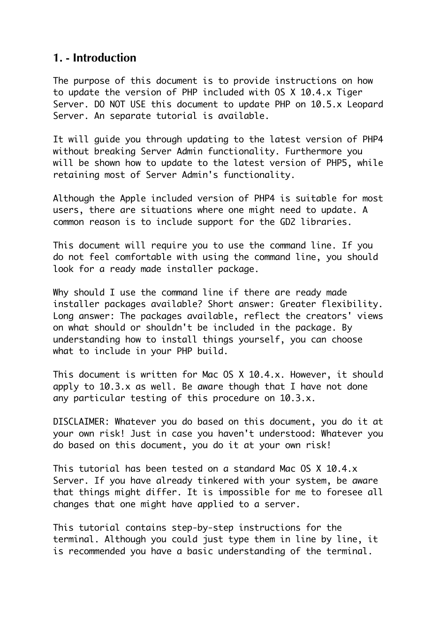#### **1. - Introduction**

The purpose of this document is to provide instructions on how to update the version of PHP included with OS X 10.4.x Tiger Server. DO NOT USE this document to update PHP on 10.5.x Leopard Server. An separate tutorial is available.

It will guide you through updating to the latest version of PHP4 without breaking Server Admin functionality. Furthermore you will be shown how to update to the latest version of PHP5, while retaining most of Server Admin's functionality.

Although the Apple included version of PHP4 is suitable for most users, there are situations where one might need to update. A common reason is to include support for the GD2 libraries.

This document will require you to use the command line. If you do not feel comfortable with using the command line, you should look for a ready made installer package.

Why should I use the command line if there are ready made installer packages available? Short answer: Greater flexibility. Long answer: The packages available, reflect the creators' views on what should or shouldn't be included in the package. By understanding how to install things yourself, you can choose what to include in your PHP build.

This document is written for Mac OS X 10.4.x. However, it should apply to 10.3.x as well. Be aware though that I have not done any particular testing of this procedure on 10.3.x.

DISCLAIMER: Whatever you do based on this document, you do it at your own risk! Just in case you haven't understood: Whatever you do based on this document, you do it at your own risk!

This tutorial has been tested on a standard Mac OS X 10.4.x Server. If you have already tinkered with your system, be aware that things might differ. It is impossible for me to foresee all changes that one might have applied to a server.

This tutorial contains step-by-step instructions for the terminal. Although you could just type them in line by line, it is recommended you have a basic understanding of the terminal.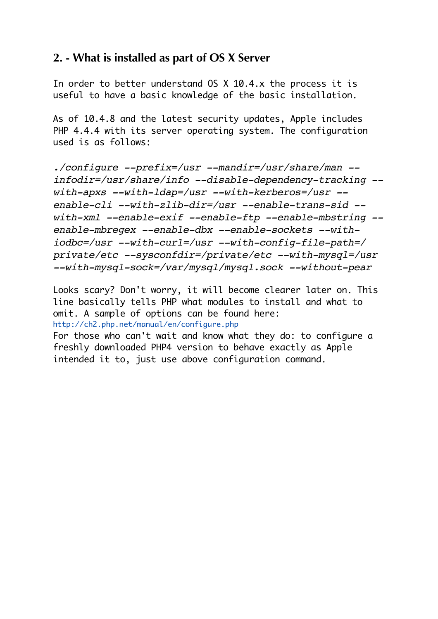### **2. - What is installed as part of OS X Server**

In order to better understand OS X 10.4.x the process it is useful to have a basic knowledge of the basic installation.

As of 10.4.8 and the latest security updates, Apple includes PHP 4.4.4 with its server operating system. The configuration used is as follows:

*./configure --prefix=/usr --mandir=/usr/share/man - infodir=/usr/share/info --disable-dependency-tracking - with-apxs --with-ldap=/usr --with-kerberos=/usr - enable-cli --with-zlib-dir=/usr --enable-trans-sid - with-xml --enable-exif --enable-ftp --enable-mbstring - enable-mbregex --enable-dbx --enable-sockets --withiodbc=/usr --with-curl=/usr --with-config-file-path=/ private/etc --sysconfdir=/private/etc --with-mysql=/usr --with-mysql-sock=/var/mysql/mysql.sock --without-pear*

Looks scary? Don't worry, it will become clearer later on. This line basically tells PHP what modules to install and what to omit. A sample of options can be found here: http://ch2.php.net/manual/en/configure.php

For those who can't wait and know what they do: to configure a freshly downloaded PHP4 version to behave exactly as Apple intended it to, just use above configuration command.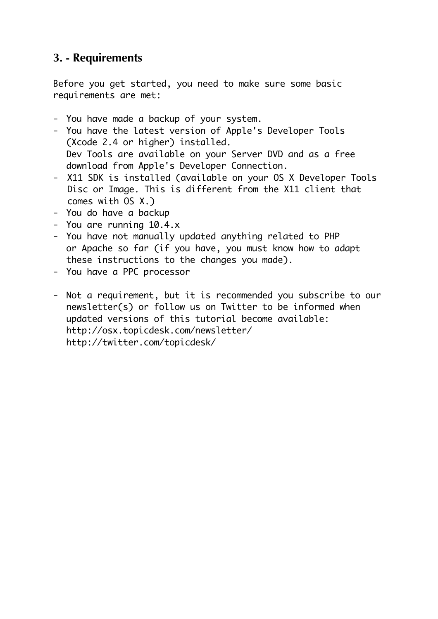## **3. - Requirements**

Before you get started, you need to make sure some basic requirements are met:

- You have made a backup of your system.
- You have the latest version of Apple's Developer Tools (Xcode 2.4 or higher) installed. Dev Tools are available on your Server DVD and as a free download from Apple's Developer Connection.
- X11 SDK is installed (available on your OS X Developer Tools Disc or Image. This is different from the X11 client that comes with OS X.)
- You do have a backup
- You are running 10.4.x
- You have not manually updated anything related to PHP or Apache so far (if you have, you must know how to adapt these instructions to the changes you made).
- You have a PPC processor
- Not a requirement, but it is recommended you subscribe to our newsletter(s) or follow us on Twitter to be informed when updated versions of this tutorial become available: http://osx.topicdesk.com/newsletter/ http://twitter.com/topicdesk/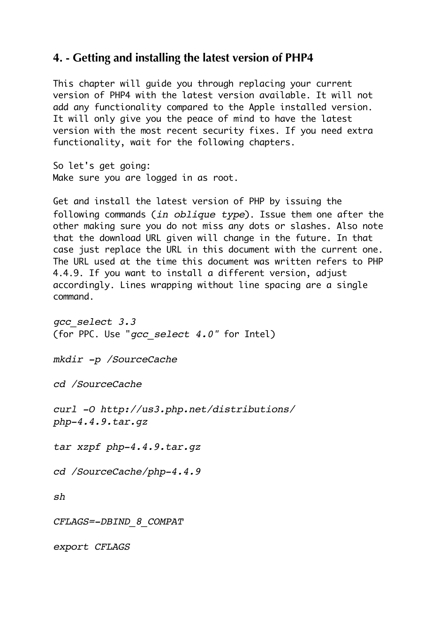#### **4. - Getting and installing the latest version of PHP4**

This chapter will guide you through replacing your current version of PHP4 with the latest version available. It will not add any functionality compared to the Apple installed version. It will only give you the peace of mind to have the latest version with the most recent security fixes. If you need extra functionality, wait for the following chapters.

So let's get going: Make sure you are logged in as root.

Get and install the latest version of PHP by issuing the following commands (*in oblique type*). Issue them one after the other making sure you do not miss any dots or slashes. Also note that the download URL given will change in the future. In that case just replace the URL in this document with the current one. The URL used at the time this document was written refers to PHP 4.4.9. If you want to install a different version, adjust accordingly. Lines wrapping without line spacing are a single command.

*gcc\_select 3.3* (for PPC. Use "*gcc\_select 4.0"* for Intel)

*mkdir -p /SourceCache*

*cd /SourceCache*

*curl -O http://us3.php.net/distributions/ php-4.4.9.tar.gz*

*tar xzpf php-4.4.9.tar.gz*

*cd /SourceCache/php-4.4.9*

*sh*

*CFLAGS=-DBIND\_8\_COMPAT*

*export CFLAGS*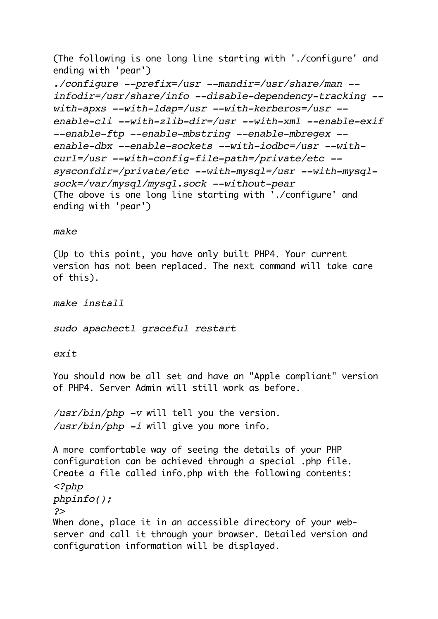(The following is one long line starting with './configure' and ending with 'pear')

*./configure --prefix=/usr --mandir=/usr/share/man - infodir=/usr/share/info --disable-dependency-tracking - with-apxs --with-ldap=/usr --with-kerberos=/usr - enable-cli --with-zlib-dir=/usr --with-xml --enable-exif --enable-ftp --enable-mbstring --enable-mbregex - enable-dbx --enable-sockets --with-iodbc=/usr --withcurl=/usr --with-config-file-path=/private/etc - sysconfdir=/private/etc --with-mysql=/usr --with-mysqlsock=/var/mysql/mysql.sock --without-pear* (The above is one long line starting with './configure' and ending with 'pear')

#### *make*

(Up to this point, you have only built PHP4. Your current version has not been replaced. The next command will take care of this).

*make install*

*sudo apachectl graceful restart*

*exit*

You should now be all set and have an "Apple compliant" version of PHP4. Server Admin will still work as before.

*/usr/bin/php -v* will tell you the version. */usr/bin/php -i* will give you more info.

configuration information will be displayed.

A more comfortable way of seeing the details of your PHP configuration can be achieved through a special .php file. Create a file called info.php with the following contents: *<?php phpinfo(); ?>* When done, place it in an accessible directory of your webserver and call it through your browser. Detailed version and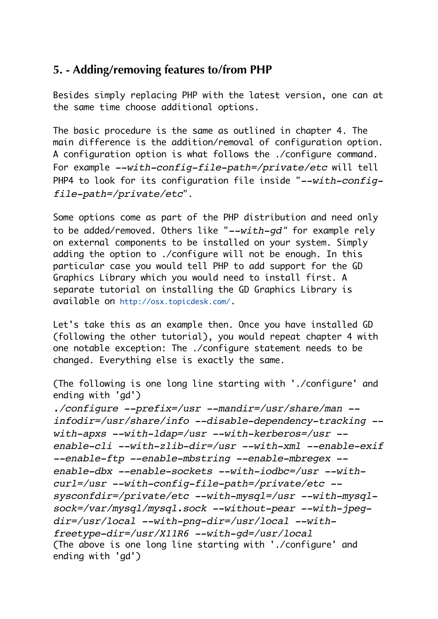#### **5. - Adding/removing features to/from PHP**

Besides simply replacing PHP with the latest version, one can at the same time choose additional options.

The basic procedure is the same as outlined in chapter 4. The main difference is the addition/removal of configuration option. A configuration option is what follows the ./configure command. For example *--with-config-file-path=/private/etc* will tell PHP4 to look for its configuration file inside "*--with-configfile-path=/private/etc*".

Some options come as part of the PHP distribution and need only to be added/removed. Others like "*--with-gd"* for example rely on external components to be installed on your system. Simply adding the option to ./configure will not be enough. In this particular case you would tell PHP to add support for the GD Graphics Library which you would need to install first. A separate tutorial on installing the GD Graphics Library is available on http://osx.topicdesk.com/.

Let's take this as an example then. Once you have installed GD (following the other tutorial), you would repeat chapter 4 with one notable exception: The ./configure statement needs to be changed. Everything else is exactly the same.

(The following is one long line starting with './configure' and ending with 'gd')

*./configure --prefix=/usr --mandir=/usr/share/man - infodir=/usr/share/info --disable-dependency-tracking - with-apxs --with-ldap=/usr --with-kerberos=/usr - enable-cli --with-zlib-dir=/usr --with-xml --enable-exif --enable-ftp --enable-mbstring --enable-mbregex - enable-dbx --enable-sockets --with-iodbc=/usr --withcurl=/usr --with-config-file-path=/private/etc - sysconfdir=/private/etc --with-mysql=/usr --with-mysqlsock=/var/mysql/mysql.sock --without-pear --with-jpegdir=/usr/local --with-png-dir=/usr/local --withfreetype-dir=/usr/X11R6 --with-gd=/usr/local* (The above is one long line starting with './configure' and ending with 'gd')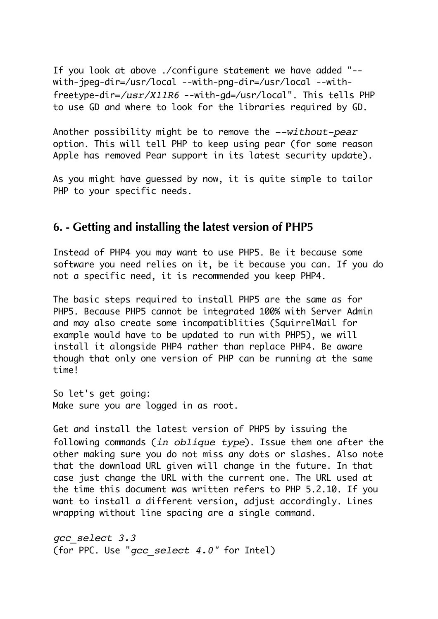If you look at above ./configure statement we have added "- with-jpeg-dir=/usr/local --with-png-dir=/usr/local --withfreetype-dir=*/usr/X11R6* --with-gd=/usr/local". This tells PHP to use GD and where to look for the libraries required by GD.

Another possibility might be to remove the *--without-pear* option. This will tell PHP to keep using pear (for some reason Apple has removed Pear support in its latest security update).

As you might have guessed by now, it is quite simple to tailor PHP to your specific needs.

#### **6. - Getting and installing the latest version of PHP5**

Instead of PHP4 you may want to use PHP5. Be it because some software you need relies on it, be it because you can. If you do not a specific need, it is recommended you keep PHP4.

The basic steps required to install PHP5 are the same as for PHP5. Because PHP5 cannot be integrated 100% with Server Admin and may also create some incompatiblities (SquirrelMail for example would have to be updated to run with PHP5), we will install it alongside PHP4 rather than replace PHP4. Be aware though that only one version of PHP can be running at the same time!

So let's get going: Make sure you are logged in as root.

Get and install the latest version of PHP5 by issuing the following commands (*in oblique type*). Issue them one after the other making sure you do not miss any dots or slashes. Also note that the download URL given will change in the future. In that case just change the URL with the current one. The URL used at the time this document was written refers to PHP 5.2.10. If you want to install a different version, adjust accordingly. Lines wrapping without line spacing are a single command.

*gcc\_select 3.3* (for PPC. Use "*gcc\_select 4.0"* for Intel)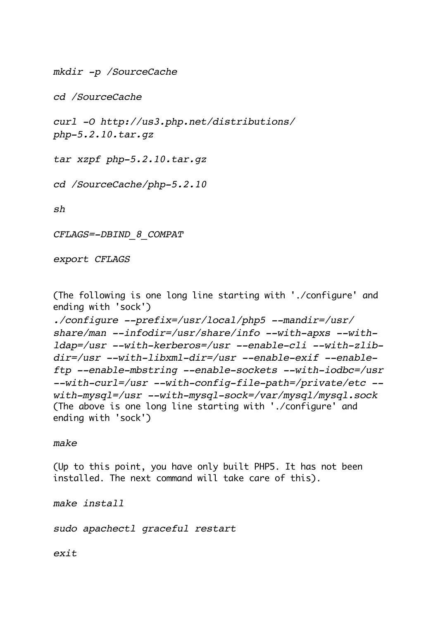*mkdir -p /SourceCache*

*cd /SourceCache*

*curl -O http://us3.php.net/distributions/ php-5.2.10.tar.gz*

*tar xzpf php-5.2.10.tar.gz*

*cd /SourceCache/php-5.2.10*

*sh*

*CFLAGS=-DBIND\_8\_COMPAT*

*export CFLAGS*

(The following is one long line starting with './configure' and ending with 'sock')

*./configure --prefix=/usr/local/php5 --mandir=/usr/ share/man --infodir=/usr/share/info --with-apxs --withldap=/usr --with-kerberos=/usr --enable-cli --with-zlibdir=/usr --with-libxml-dir=/usr --enable-exif --enableftp --enable-mbstring --enable-sockets --with-iodbc=/usr --with-curl=/usr --with-config-file-path=/private/etc - with-mysql=/usr --with-mysql-sock=/var/mysql/mysql.sock* (The above is one long line starting with './configure' and ending with 'sock')

*make*

(Up to this point, you have only built PHP5. It has not been installed. The next command will take care of this).

*make install*

*sudo apachectl graceful restart*

*exit*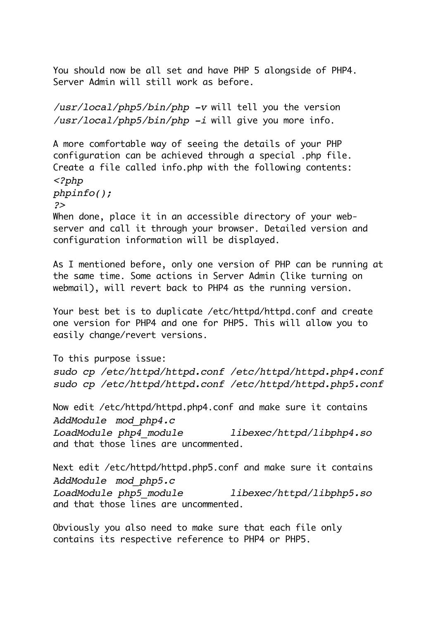You should now be all set and have PHP 5 alongside of PHP4. Server Admin will still work as before.

*/usr/local/php5/bin/php -v* will tell you the version */usr/local/php5/bin/php -i* will give you more info.

A more comfortable way of seeing the details of your PHP configuration can be achieved through a special .php file. Create a file called info.php with the following contents: *<?php*

*phpinfo();*

*?>*

When done, place it in an accessible directory of your webserver and call it through your browser. Detailed version and configuration information will be displayed.

As I mentioned before, only one version of PHP can be running at the same time. Some actions in Server Admin (like turning on webmail), will revert back to PHP4 as the running version.

Your best bet is to duplicate /etc/httpd/httpd.conf and create one version for PHP4 and one for PHP5. This will allow you to easily change/revert versions.

To this purpose issue:

*sudo cp /etc/httpd/httpd.conf /etc/httpd/httpd.php4.conf sudo cp /etc/httpd/httpd.conf /etc/httpd/httpd.php5.conf*

Now edit /etc/httpd/httpd.php4.conf and make sure it contains *AddModule mod\_php4.c*

*LoadModule php4\_module libexec/httpd/libphp4.so* and that those lines are uncommented.

Next edit /etc/httpd/httpd.php5.conf and make sure it contains *AddModule mod\_php5.c LoadModule php5\_module libexec/httpd/libphp5.so* and that those lines are uncommented.

Obviously you also need to make sure that each file only contains its respective reference to PHP4 or PHP5.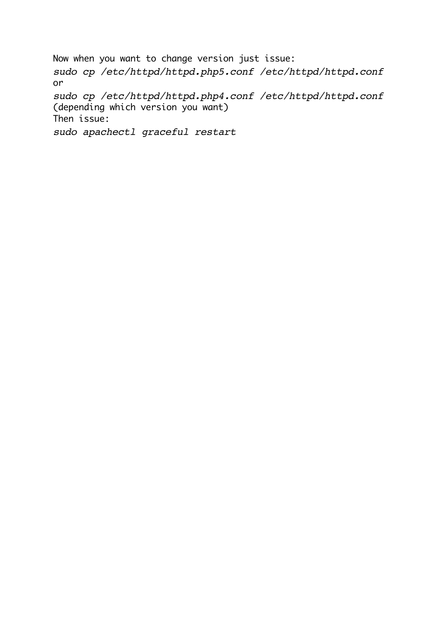Now when you want to change version just issue: *sudo cp /etc/httpd/httpd.php5.conf /etc/httpd/httpd.conf* or *sudo cp /etc/httpd/httpd.php4.conf /etc/httpd/httpd.conf* (depending which version you want) Then issue: *sudo apachectl graceful restart*